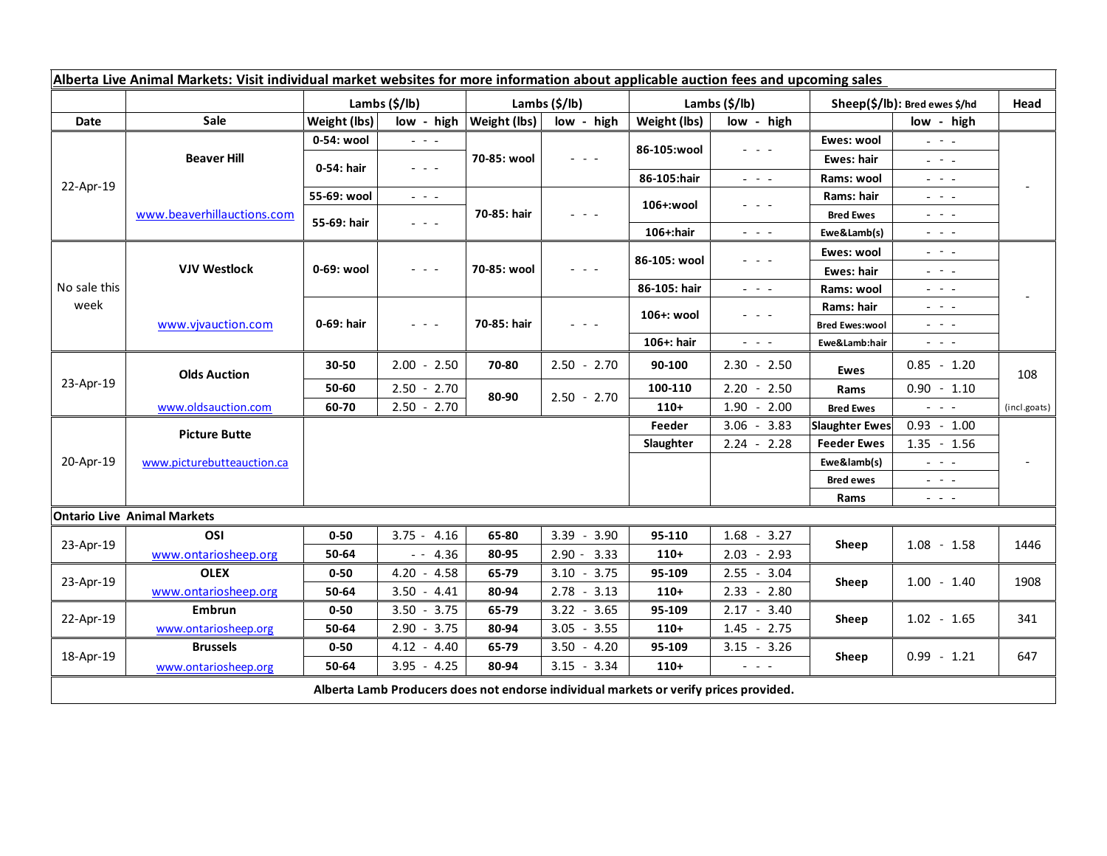| Alberta Live Animal Markets: Visit individual market websites for more information about applicable auction fees and upcoming sales |                            |                        |                                                                                                                           |                           |                                                                                                                           |               |                                                                                                                           |                               |                                                                                                                           |                          |
|-------------------------------------------------------------------------------------------------------------------------------------|----------------------------|------------------------|---------------------------------------------------------------------------------------------------------------------------|---------------------------|---------------------------------------------------------------------------------------------------------------------------|---------------|---------------------------------------------------------------------------------------------------------------------------|-------------------------------|---------------------------------------------------------------------------------------------------------------------------|--------------------------|
|                                                                                                                                     |                            | Lambs $(\frac{5}{lb})$ |                                                                                                                           | Lambs $(\frac{2}{3})$ lb) |                                                                                                                           | Lambs (\$/lb) |                                                                                                                           | Sheep(\$/lb): Bred ewes \$/hd |                                                                                                                           | Head                     |
| Date                                                                                                                                | Sale                       | Weight (lbs)           | low - high                                                                                                                | Weight (lbs)              | low - high                                                                                                                | Weight (lbs)  | low - high                                                                                                                |                               | low - high                                                                                                                |                          |
| 22-Apr-19                                                                                                                           | <b>Beaver Hill</b>         | 0-54: wool             | $\omega_{\rm{c}}$ and $\omega_{\rm{c}}$                                                                                   | 70-85: wool               | $ -$                                                                                                                      | 86-105:wool   | $  -$                                                                                                                     | Ewes: wool                    | $\omega_{\rm{eff}}=0.1$                                                                                                   |                          |
|                                                                                                                                     |                            | 0-54: hair             | $\frac{1}{2} \left( \frac{1}{2} \right) \left( \frac{1}{2} \right) \left( \frac{1}{2} \right)$                            |                           |                                                                                                                           |               |                                                                                                                           | Ewes: hair                    | $\frac{1}{2} \left( \frac{1}{2} \right) = \frac{1}{2} \left( \frac{1}{2} \right)$                                         |                          |
|                                                                                                                                     |                            |                        |                                                                                                                           |                           |                                                                                                                           | 86-105:hair   | $\omega_{\rm{c}}$ , $\omega_{\rm{c}}$ , $\omega_{\rm{c}}$                                                                 | Rams: wool                    | $\frac{1}{2} \left( \frac{1}{2} \right) = \frac{1}{2} \left( \frac{1}{2} \right)$                                         |                          |
|                                                                                                                                     | www.beaverhillauctions.com | 55-69: wool            | $\frac{1}{2} \left( \frac{1}{2} \right) \frac{1}{2} \left( \frac{1}{2} \right) \frac{1}{2} \left( \frac{1}{2} \right)$    | 70-85: hair               | $\frac{1}{2} \left( \frac{1}{2} \right) = \frac{1}{2} \left( \frac{1}{2} \right)$                                         | 106+:wool     | - - -                                                                                                                     | Rams: hair                    | $\frac{1}{2} \left( \frac{1}{2} \right) = \frac{1}{2} \left( \frac{1}{2} \right)$                                         |                          |
|                                                                                                                                     |                            | 55-69: hair            | $\omega_{\rm{eff}}$ and $\omega_{\rm{eff}}$                                                                               |                           |                                                                                                                           |               |                                                                                                                           | <b>Bred Ewes</b>              | $\frac{1}{2} \left( \frac{1}{2} \right) = \frac{1}{2} \left( \frac{1}{2} \right) = \frac{1}{2}$                           |                          |
|                                                                                                                                     |                            |                        |                                                                                                                           |                           |                                                                                                                           | 106+:hair     | $\frac{1}{2} \left( \frac{1}{2} \right) \left( \frac{1}{2} \right) \left( \frac{1}{2} \right) \left( \frac{1}{2} \right)$ | Ewe&Lamb(s)                   | $\frac{1}{2} \left( \frac{1}{2} \right) \left( \frac{1}{2} \right) \left( \frac{1}{2} \right) \left( \frac{1}{2} \right)$ |                          |
| No sale this<br>week                                                                                                                | <b>VJV Westlock</b>        | 0-69: wool             | $\frac{1}{2} \left( \frac{1}{2} \right) \left( \frac{1}{2} \right) \left( \frac{1}{2} \right) \left( \frac{1}{2} \right)$ | 70-85: wool               | $\frac{1}{2} \left( \frac{1}{2} \right) \left( \frac{1}{2} \right) \left( \frac{1}{2} \right) \left( \frac{1}{2} \right)$ | 86-105: wool  | $  -$                                                                                                                     | Ewes: wool                    | $\mathbb{L}^2 \times \mathbb{L}^2$                                                                                        |                          |
|                                                                                                                                     |                            |                        |                                                                                                                           |                           |                                                                                                                           |               |                                                                                                                           | Ewes: hair                    | $\frac{1}{2} \left( \frac{1}{2} \right) = \frac{1}{2} \left( \frac{1}{2} \right)$                                         |                          |
|                                                                                                                                     |                            |                        |                                                                                                                           |                           |                                                                                                                           | 86-105: hair  | $\omega_{\rm{c}}$ , $\omega_{\rm{c}}$ , $\omega_{\rm{c}}$                                                                 | Rams: wool                    | $  -$                                                                                                                     |                          |
|                                                                                                                                     | www.vjvauction.com         | 0-69: hair             | $\frac{1}{2} \left( \frac{1}{2} \right) \left( \frac{1}{2} \right) \left( \frac{1}{2} \right) \left( \frac{1}{2} \right)$ | 70-85: hair               | $  -$                                                                                                                     | 106+: wool    | - - -                                                                                                                     | Rams: hair                    | $\frac{1}{2} \left( \frac{1}{2} \right) \frac{1}{2} \left( \frac{1}{2} \right) \frac{1}{2} \left( \frac{1}{2} \right)$    |                          |
|                                                                                                                                     |                            |                        |                                                                                                                           |                           |                                                                                                                           |               |                                                                                                                           | <b>Bred Ewes:wool</b>         | $  -$                                                                                                                     |                          |
|                                                                                                                                     |                            |                        |                                                                                                                           |                           |                                                                                                                           | 106+: hair    | $\omega_{\rm{eff}}$ and $\omega_{\rm{eff}}$                                                                               | Ewe&Lamb:hair                 | $\sim$ $\sim$ $\sim$                                                                                                      |                          |
| 23-Apr-19                                                                                                                           | <b>Olds Auction</b>        | 30-50                  | $2.00 - 2.50$                                                                                                             | 70-80                     | $2.50 - 2.70$                                                                                                             | 90-100        | $2.30 - 2.50$                                                                                                             | <b>Ewes</b>                   | $0.85 - 1.20$                                                                                                             | 108                      |
|                                                                                                                                     |                            | 50-60                  | $2.50 - 2.70$                                                                                                             | 80-90                     | $2.50 - 2.70$                                                                                                             | 100-110       | $2.20 - 2.50$                                                                                                             | Rams                          | $0.90 - 1.10$                                                                                                             |                          |
|                                                                                                                                     | www.oldsauction.com        | 60-70                  | $2.50 - 2.70$                                                                                                             |                           |                                                                                                                           | $110+$        | $1.90 - 2.00$                                                                                                             | <b>Bred Ewes</b>              | $\mathbb{Z}^2$ and $\mathbb{Z}^2$                                                                                         | (incl.goats)             |
| 20-Apr-19                                                                                                                           | <b>Picture Butte</b>       |                        |                                                                                                                           |                           |                                                                                                                           | Feeder        | $3.06 - 3.83$                                                                                                             | <b>Slaughter Ewes</b>         | $0.93 - 1.00$                                                                                                             |                          |
|                                                                                                                                     |                            |                        |                                                                                                                           |                           |                                                                                                                           | Slaughter     | $2.24 - 2.28$                                                                                                             | <b>Feeder Ewes</b>            | $1.35 - 1.56$                                                                                                             |                          |
|                                                                                                                                     | www.picturebutteauction.ca |                        |                                                                                                                           |                           |                                                                                                                           |               |                                                                                                                           | Ewe&lamb(s)                   | $\omega_{\rm{eff}}$ and $\omega_{\rm{eff}}$                                                                               | $\overline{\phantom{a}}$ |
|                                                                                                                                     |                            |                        |                                                                                                                           |                           |                                                                                                                           |               |                                                                                                                           | <b>Bred ewes</b>              | $\frac{1}{2} \left( \frac{1}{2} \right) = \frac{1}{2} \left( \frac{1}{2} \right) = \frac{1}{2}$                           |                          |
|                                                                                                                                     |                            |                        |                                                                                                                           |                           |                                                                                                                           |               |                                                                                                                           | Rams                          | $\frac{1}{2} \left( \frac{1}{2} \right) = \frac{1}{2} \left( \frac{1}{2} \right)$                                         |                          |
| <b>Ontario Live Animal Markets</b>                                                                                                  |                            |                        |                                                                                                                           |                           |                                                                                                                           |               |                                                                                                                           |                               |                                                                                                                           |                          |
| 23-Apr-19                                                                                                                           | OSI                        | $0 - 50$               | $3.75 - 4.16$                                                                                                             | 65-80                     | $3.39 - 3.90$                                                                                                             | 95-110        | $1.68 - 3.27$                                                                                                             | Sheep                         | $1.08 - 1.58$                                                                                                             | 1446                     |
|                                                                                                                                     | www.ontariosheep.org       | 50-64                  | $- - 4.36$                                                                                                                | 80-95                     | $2.90 - 3.33$                                                                                                             | $110+$        | $2.03 - 2.93$                                                                                                             |                               |                                                                                                                           |                          |
| 23-Apr-19                                                                                                                           | <b>OLEX</b>                | $0 - 50$               | $4.20 - 4.58$                                                                                                             | 65-79                     | $3.10 - 3.75$                                                                                                             | 95-109        | $2.55 - 3.04$                                                                                                             | Sheep                         | $1.00 - 1.40$                                                                                                             | 1908                     |
|                                                                                                                                     | www.ontariosheep.org       | 50-64                  | $3.50 - 4.41$                                                                                                             | 80-94                     | $2.78 - 3.13$                                                                                                             | $110+$        | $2.33 - 2.80$                                                                                                             |                               |                                                                                                                           |                          |
| 22-Apr-19                                                                                                                           | Embrun                     | $0 - 50$               | $3.50 - 3.75$                                                                                                             | 65-79                     | $3.22 - 3.65$                                                                                                             | 95-109        | $2.17 - 3.40$                                                                                                             | Sheep                         | $1.02 - 1.65$                                                                                                             | 341                      |
|                                                                                                                                     | www.ontariosheep.org       | 50-64                  | $2.90 - 3.75$                                                                                                             | 80-94                     | $3.05 - 3.55$                                                                                                             | $110+$        | $1.45 - 2.75$                                                                                                             |                               |                                                                                                                           |                          |
| 18-Apr-19                                                                                                                           | <b>Brussels</b>            | $0 - 50$               | $4.12 - 4.40$                                                                                                             | 65-79                     | $3.50 - 4.20$                                                                                                             | 95-109        | $3.15 - 3.26$                                                                                                             | Sheep                         | $0.99 - 1.21$                                                                                                             | 647                      |
|                                                                                                                                     | www.ontariosheep.org       | 50-64                  | $3.95 - 4.25$                                                                                                             | 80-94                     | $3.15 - 3.34$                                                                                                             | $110+$        | $\frac{1}{2} \left( \frac{1}{2} \right) \left( \frac{1}{2} \right) \left( \frac{1}{2} \right) \left( \frac{1}{2} \right)$ |                               |                                                                                                                           |                          |
| Alberta Lamb Producers does not endorse individual markets or verify prices provided.                                               |                            |                        |                                                                                                                           |                           |                                                                                                                           |               |                                                                                                                           |                               |                                                                                                                           |                          |